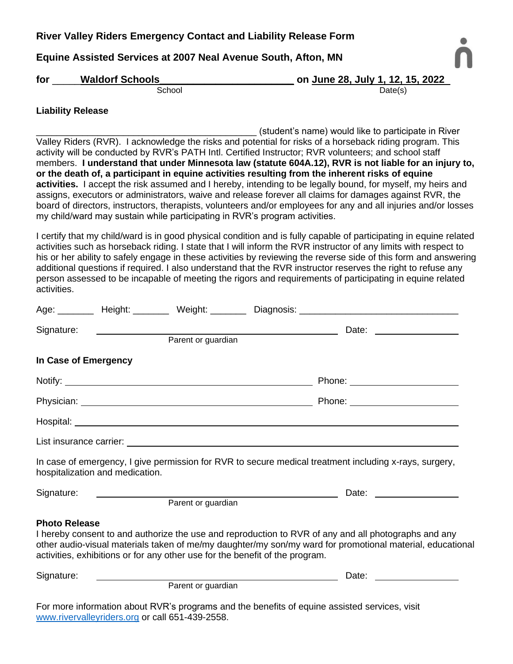# **River Valley Riders Emergency Contact and Liability Release Form**

## **Equine Assisted Services at 2007 Neal Avenue South, Afton, MN**



| for    | <b>Waldorf Schools</b> | on June 28, July 1, 12, 15, 2022 |
|--------|------------------------|----------------------------------|
| School |                        | Date(s)                          |

## **Liability Release**

(student's name) would like to participate in River Valley Riders (RVR). I acknowledge the risks and potential for risks of a horseback riding program. This activity will be conducted by RVR's PATH Intl. Certified Instructor; RVR volunteers; and school staff members. **I understand that under Minnesota law (statute 604A.12), RVR is not liable for an injury to, or the death of, a participant in equine activities resulting from the inherent risks of equine activities.** I accept the risk assumed and I hereby, intending to be legally bound, for myself, my heirs and assigns, executors or administrators, waive and release forever all claims for damages against RVR, the board of directors, instructors, therapists, volunteers and/or employees for any and all injuries and/or losses my child/ward may sustain while participating in RVR's program activities.

I certify that my child/ward is in good physical condition and is fully capable of participating in equine related activities such as horseback riding. I state that I will inform the RVR instructor of any limits with respect to his or her ability to safely engage in these activities by reviewing the reverse side of this form and answering additional questions if required. I also understand that the RVR instructor reserves the right to refuse any person assessed to be incapable of meeting the rigors and requirements of participating in equine related activities.

|                      | Signature: <u>_______________</u> |                    |                                                                              | Date: the contract of the contract of the contract of the contract of the contract of the contract of the contract of the contract of the contract of the contract of the contract of the contract of the contract of the cont |
|----------------------|-----------------------------------|--------------------|------------------------------------------------------------------------------|--------------------------------------------------------------------------------------------------------------------------------------------------------------------------------------------------------------------------------|
|                      |                                   |                    | Parent or guardian                                                           |                                                                                                                                                                                                                                |
| In Case of Emergency |                                   |                    |                                                                              |                                                                                                                                                                                                                                |
|                      |                                   |                    |                                                                              | Phone: __________________________                                                                                                                                                                                              |
|                      |                                   |                    |                                                                              |                                                                                                                                                                                                                                |
|                      |                                   |                    |                                                                              |                                                                                                                                                                                                                                |
|                      |                                   |                    |                                                                              |                                                                                                                                                                                                                                |
|                      | hospitalization and medication.   |                    |                                                                              | In case of emergency, I give permission for RVR to secure medical treatment including x-rays, surgery,                                                                                                                         |
| Signature:           |                                   |                    |                                                                              |                                                                                                                                                                                                                                |
|                      |                                   | Parent or guardian |                                                                              |                                                                                                                                                                                                                                |
| <b>Photo Release</b> |                                   |                    | activities, exhibitions or for any other use for the benefit of the program. | I hereby consent to and authorize the use and reproduction to RVR of any and all photographs and any<br>other audio-visual materials taken of me/my daughter/my son/my ward for promotional material, educational              |
| Signature:           |                                   |                    |                                                                              | Date: the contract of the contract of the contract of the contract of the contract of the contract of the contract of the contract of the contract of the contract of the contract of the contract of the contract of the cont |
|                      |                                   | Parent or guardian |                                                                              |                                                                                                                                                                                                                                |

For more information about RVR's programs and the benefits of equine assisted services, visit [www.rivervalleyriders.org](http://www.rivervalleyriders.org/) or call 651-439-2558.